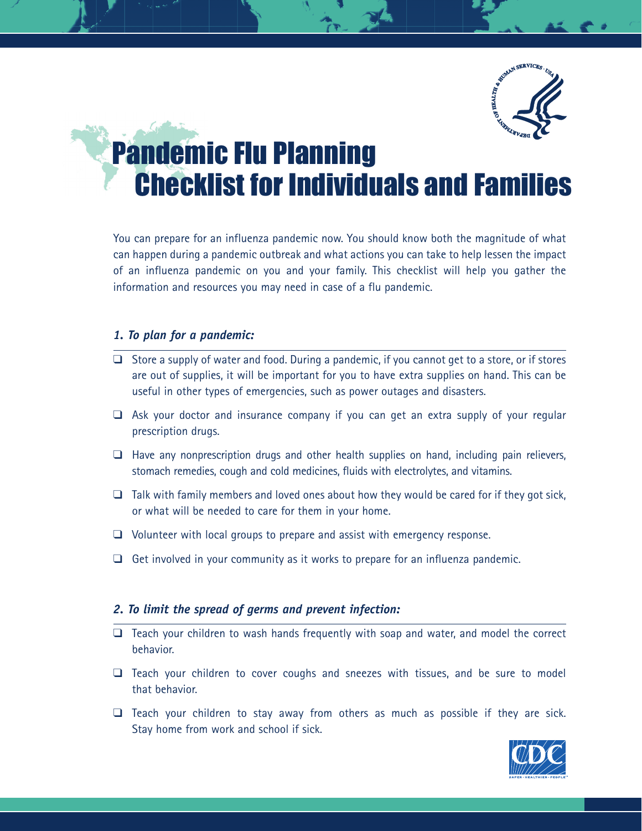

# **Pandemic Flu Planning** Checklist for Individuals and Families

You can prepare for an influenza pandemic now. You should know both the magnitude of what can happen during a pandemic outbreak and what actions you can take to help lessen the impact of an influenza pandemic on you and your family. This checklist will help you gather the information and resources you may need in case of a flu pandemic.

#### *1. To plan for a pandemic:*

- ❑ Store a supply of water and food. During a pandemic, if you cannot get to a store, or if stores are out of supplies, it will be important for you to have extra supplies on hand. This can be useful in other types of emergencies, such as power outages and disasters.
- ❑ Ask your doctor and insurance company if you can get an extra supply of your regular prescription drugs.
- $\Box$  Have any nonprescription drugs and other health supplies on hand, including pain relievers, stomach remedies, cough and cold medicines, fluids with electrolytes, and vitamins.
- $\Box$  Talk with family members and loved ones about how they would be cared for if they got sick, or what will be needed to care for them in your home.
- ❑ Volunteer with local groups to prepare and assist with emergency response.
- $\Box$  Get involved in your community as it works to prepare for an influenza pandemic.

#### *2. To limit the spread of germs and prevent infection:*

- ❑ Teach your children to wash hands frequently with soap and water, and model the correct behavior.
- ❑ Teach your children to cover coughs and sneezes with tissues, and be sure to model that behavior.
- $\Box$  Teach your children to stay away from others as much as possible if they are sick. Stay home from work and school if sick.